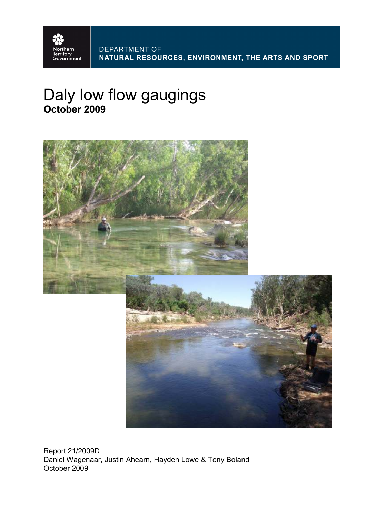

# Daly low flow gaugings **October 2009**



Report 21/2009D Daniel Wagenaar, Justin Ahearn, Hayden Lowe & Tony Boland October 2009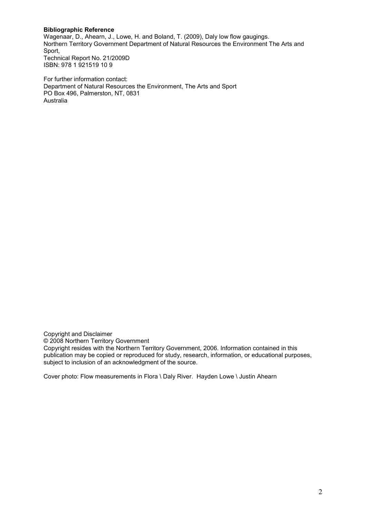#### **Bibliographic Reference**

Wagenaar, D., Ahearn, J., Lowe, H. and Boland, T. (2009), Daly low flow gaugings. Northern Territory Government Department of Natural Resources the Environment The Arts and Sport, Technical Report No. 21/2009D ISBN: 978 1 921519 10 9

For further information contact: Department of Natural Resources the Environment, The Arts and Sport PO Box 496, Palmerston, NT, 0831 Australia

Copyright and Disclaimer

© 2008 Northern Territory Government

Copyright resides with the Northern Territory Government, 2006. Information contained in this publication may be copied or reproduced for study, research, information, or educational purposes, subject to inclusion of an acknowledgment of the source.

Cover photo: Flow measurements in Flora \ Daly River. Hayden Lowe \ Justin Ahearn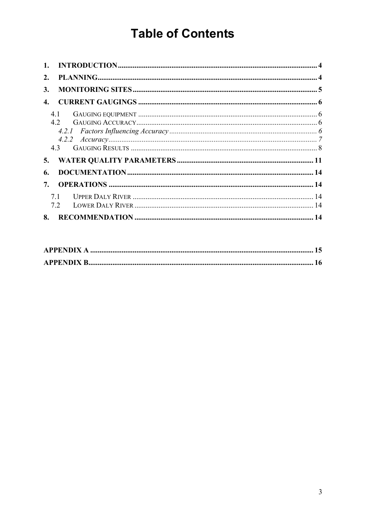# **Table of Contents**

| 1. |     |  |
|----|-----|--|
| 2. |     |  |
| 3. |     |  |
| 4. |     |  |
|    | 4.1 |  |
|    | 4.2 |  |
|    |     |  |
|    |     |  |
|    | 43  |  |
| 5. |     |  |
| 6. |     |  |
| 7. |     |  |
|    | 7.1 |  |
|    | 7.2 |  |
| 8. |     |  |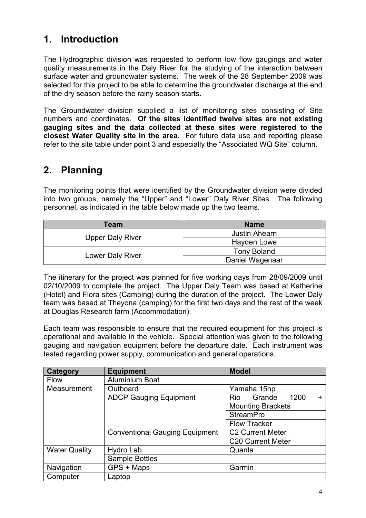### **1. Introduction**

The Hydrographic division was requested to perform low flow gaugings and water quality measurements in the Daly River for the studying of the interaction between surface water and groundwater systems. The week of the 28 September 2009 was selected for this project to be able to determine the groundwater discharge at the end of the dry season before the rainy season starts.

The Groundwater division supplied a list of monitoring sites consisting of Site numbers and coordinates. **Of the sites identified twelve sites are not existing gauging sites and the data collected at these sites were registered to the closest Water Quality site in the area.** For future data use and reporting please refer to the site table under point 3 and especially the "Associated WQ Site" column.

### **2. Planning**

The monitoring points that were identified by the Groundwater division were divided into two groups, namely the "Upper" and "Lower" Daly River Sites. The following personnel, as indicated in the table below made up the two teams.

| <b>Team</b>             | <b>Name</b>        |  |  |  |  |
|-------------------------|--------------------|--|--|--|--|
|                         | Justin Ahearn      |  |  |  |  |
| <b>Upper Daly River</b> | Hayden Lowe        |  |  |  |  |
|                         | <b>Tony Boland</b> |  |  |  |  |
| Lower Daly River        | Daniel Wagenaar    |  |  |  |  |

The itinerary for the project was planned for five working days from 28/09/2009 until 02/10/2009 to complete the project. The Upper Daly Team was based at Katherine (Hotel) and Flora sites (Camping) during the duration of the project. The Lower Daly team was based at Theyona (camping) for the first two days and the rest of the week at Douglas Research farm (Accommodation).

Each team was responsible to ensure that the required equipment for this project is operational and available in the vehicle. Special attention was given to the following gauging and navigation equipment before the departure date. Each instrument was tested regarding power supply, communication and general operations.

| <b>Category</b>      | <b>Equipment</b>                      | <b>Model</b>                       |  |  |  |  |  |
|----------------------|---------------------------------------|------------------------------------|--|--|--|--|--|
| <b>Flow</b>          | <b>Aluminium Boat</b>                 |                                    |  |  |  |  |  |
| Measurement          | Outboard                              | Yamaha 15hp                        |  |  |  |  |  |
|                      | <b>ADCP Gauging Equipment</b>         | Grande<br>1200<br><b>Rio</b><br>÷. |  |  |  |  |  |
|                      |                                       | <b>Mounting Brackets</b>           |  |  |  |  |  |
|                      |                                       | <b>StreamPro</b>                   |  |  |  |  |  |
|                      |                                       | <b>Flow Tracker</b>                |  |  |  |  |  |
|                      | <b>Conventional Gauging Equipment</b> | <b>C2 Current Meter</b>            |  |  |  |  |  |
|                      |                                       | <b>C20 Current Meter</b>           |  |  |  |  |  |
| <b>Water Quality</b> | Hydro Lab                             | Quanta                             |  |  |  |  |  |
|                      | <b>Sample Bottles</b>                 |                                    |  |  |  |  |  |
| Navigation           | GPS + Maps                            | Garmin                             |  |  |  |  |  |
| Computer             | Laptop                                |                                    |  |  |  |  |  |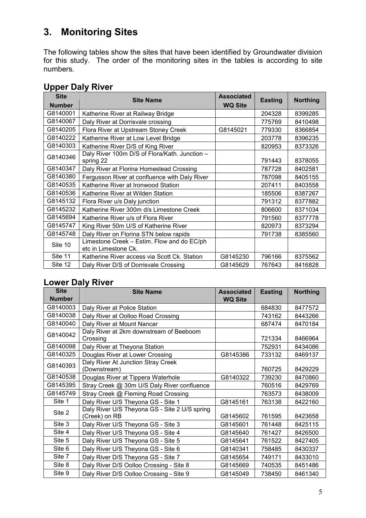## **3. Monitoring Sites**

The following tables show the sites that have been identified by Groundwater division for this study. The order of the monitoring sites in the tables is according to site numbers.

| <b>Site</b>   | <b>Site Name</b>                                                   | <b>Associated</b> | <b>Easting</b> | <b>Northing</b> |
|---------------|--------------------------------------------------------------------|-------------------|----------------|-----------------|
| <b>Number</b> |                                                                    | <b>WQ Site</b>    |                |                 |
| G8140001      | Katherine River at Railway Bridge                                  |                   | 204328         | 8399285         |
| G8140067      | Daly River at Dorrisvale crossing                                  |                   | 775769         | 8410498         |
| G8140205      | Flora River at Upstream Stoney Creek                               | G8145021          | 779330         | 8366854         |
| G8140222      | Katherine River at Low Level Bridge                                |                   | 203778         | 8396235         |
| G8140303      | Katherine River D/S of King River                                  |                   | 820953         | 8373326         |
| G8140346      | Daly River 100m D/S of Flora/Kath. Junction -<br>spring 22         |                   | 791443         | 8378055         |
| G8140347      | Daly River at Florina Homestead Crossing                           |                   | 787728         | 8402581         |
| G8140380      | Fergusson River at confluence with Daly River                      |                   | 787098         | 8405155         |
| G8140535      | Katherine River at Ironwood Station                                |                   | 207411         | 8403558         |
| G8140536      | Katherine River at Wilden Station                                  |                   | 185506         | 8387267         |
| G8145132      | Flora River u/s Daly junction                                      |                   | 791312         | 8377882         |
| G8145232      | Katherine River 300m d/s Limestone Creek                           |                   | 806600         | 8371034         |
| G8145694      | Katherine River u/s of Flora River                                 |                   | 791560         | 8377778         |
| G8145747      | King River 50m U/S of Katherine River                              |                   | 820973         | 8373294         |
| G8145748      | Daly River on Florina STN below rapids                             |                   | 791738         | 8385560         |
| Site 10       | Limestone Creek - Estim. Flow and do EC/ph<br>etc in Limestone Ck. |                   |                |                 |
| Site 11       | Katherine River access via Scott Ck. Station                       | G8145230          | 796166         | 8375562         |
| Site 12       | Daly River D/S of Dorrisvale Crossing                              | G8145629          | 767643         | 8416828         |

### **Upper Daly River**

#### **Lower Daly River**

| <b>Site</b>   | <b>Site Name</b>                                               | <b>Associated</b> | <b>Easting</b> | <b>Northing</b> |
|---------------|----------------------------------------------------------------|-------------------|----------------|-----------------|
| <b>Number</b> |                                                                | <b>WQ Site</b>    |                |                 |
| G8140003      | Daly River at Police Station                                   |                   | 684830         | 8477572         |
| G8140038      | Daly River at Oolloo Road Crossing                             |                   | 743162         | 8443266         |
| G8140040      | Daly River at Mount Nancar                                     |                   | 687474         | 8470184         |
| G8140042      | Daly River at 2km downstream of Beeboom<br>Crossing            |                   | 721334         | 8466964         |
| G8140098      | Daly River at Theyona Station                                  |                   | 752931         | 8434086         |
| G8140325      | Douglas River at Lower Crossing                                | G8145386          | 733132         | 8469137         |
| G8140393      | Daly River At Junction Stray Creek<br>(Downstream)             |                   | 760725         | 8429229         |
| G8140538      | Douglas River at Tippera Waterhole                             | G8140322          | 739230         | 8470860         |
| G8145395      | Stray Creek @ 30m U/S Daly River confluence                    |                   | 760516         | 8429769         |
| G8145749      | Stray Creek @ Fleming Road Crossing                            |                   | 763573         | 8438009         |
| Site 1        | Daly River U/S Theyona GS - Site 1                             | G8145161          | 763138         | 8422160         |
| Site 2        | Daly River U/S Theyona GS - Site 2 U/S spring<br>(Creek) on RB | G8145602          | 761595         | 8423658         |
| Site 3        | Daly River U/S Theyona GS - Site 3                             | G8145601          | 761448         | 8425115         |
| Site 4        | Daly River U/S Theyona GS - Site 4                             | G8145640          | 761427         | 8426500         |
| Site 5        | Daly River U/S Theyona GS - Site 5                             | G8145641          | 761522         | 8427405         |
| Site 6        | Daly River U/S Theyona GS - Site 6                             | G8140341          | 758485         | 8430337         |
| Site 7        | Daly River D/S Theyona GS - Site 7                             | G8145654          | 749171         | 8433010         |
| Site 8        | Daly River D/S Oolloo Crossing - Site 8                        | G8145669          | 740535         | 8451486         |
| Site 9        | Daly River D/S Oolloo Crossing - Site 9                        | G8145049          | 738450         | 8461340         |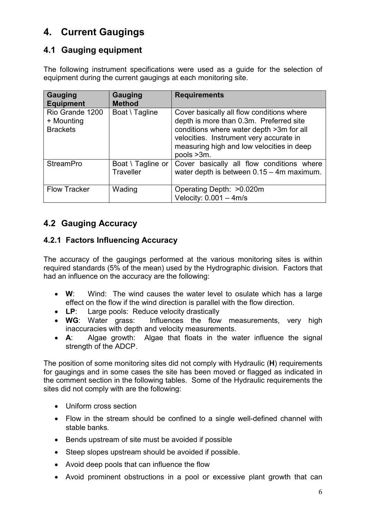### **4. Current Gaugings**

#### **4.1 Gauging equipment**

The following instrument specifications were used as a guide for the selection of equipment during the current gaugings at each monitoring site.

| Gauging<br><b>Equipment</b>                      | <b>Gauging</b><br><b>Method</b>       | <b>Requirements</b>                                                                                                                                                                                                                    |
|--------------------------------------------------|---------------------------------------|----------------------------------------------------------------------------------------------------------------------------------------------------------------------------------------------------------------------------------------|
| Rio Grande 1200<br>+ Mounting<br><b>Brackets</b> | Boat \ Tagline                        | Cover basically all flow conditions where<br>depth is more than 0.3m. Preferred site<br>conditions where water depth >3m for all<br>velocities. Instrument very accurate in<br>measuring high and low velocities in deep<br>pools >3m. |
| <b>StreamPro</b>                                 | Boat \ Tagline or<br><b>Traveller</b> | Cover basically all flow conditions where<br>water depth is between 0.15 - 4m maximum.                                                                                                                                                 |
| <b>Flow Tracker</b>                              | Wading                                | Operating Depth: > 0.020m<br>Velocity: $0.001 - 4m/s$                                                                                                                                                                                  |

#### **4.2 Gauging Accuracy**

#### **4.2.1 Factors Influencing Accuracy**

The accuracy of the gaugings performed at the various monitoring sites is within required standards (5% of the mean) used by the Hydrographic division. Factors that had an influence on the accuracy are the following:

- **W**: Wind: The wind causes the water level to osulate which has a large effect on the flow if the wind direction is parallel with the flow direction.
- **LP**: Large pools: Reduce velocity drastically
- **WG**: Water grass: Influences the flow measurements, very high inaccuracies with depth and velocity measurements.
- **A**: Algae growth: Algae that floats in the water influence the signal strength of the ADCP.

The position of some monitoring sites did not comply with Hydraulic (**H**) requirements for gaugings and in some cases the site has been moved or flagged as indicated in the comment section in the following tables. Some of the Hydraulic requirements the sites did not comply with are the following:

- Uniform cross section
- Flow in the stream should be confined to a single well-defined channel with stable banks.
- Bends upstream of site must be avoided if possible
- Steep slopes upstream should be avoided if possible.
- Avoid deep pools that can influence the flow
- Avoid prominent obstructions in a pool or excessive plant growth that can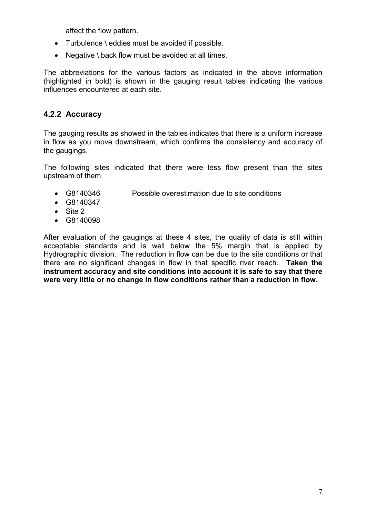affect the flow pattern.

- Turbulence \ eddies must be avoided if possible.
- Negative \ back flow must be avoided at all times.

The abbreviations for the various factors as indicated in the above information (highlighted in bold) is shown in the gauging result tables indicating the various influences encountered at each site.

#### **4.2.2 Accuracy**

The gauging results as showed in the tables indicates that there is a uniform increase in flow as you move downstream, which confirms the consistency and accuracy of the gaugings.

The following sites indicated that there were less flow present than the sites upstream of them.

- G8140346 Possible overestimation due to site conditions
- G8140347
- Site 2
- G8140098

After evaluation of the gaugings at these 4 sites, the quality of data is still within acceptable standards and is well below the 5% margin that is applied by Hydrographic division. The reduction in flow can be due to the site conditions or that there are no significant changes in flow in that specific river reach. **Taken the instrument accuracy and site conditions into account it is safe to say that there were very little or no change in flow conditions rather than a reduction in flow.**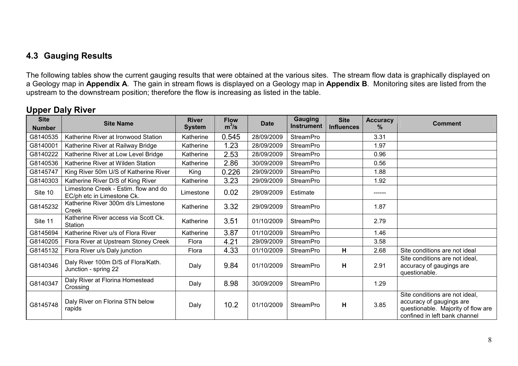#### **4.3 Gauging Results**

The following tables show the current gauging results that were obtained at the various sites. The stream flow data is graphically displayed on a Geology map in **Appendix A**. The gain in stream flows is displayed on a Geology map in **Appendix B**. Monitoring sites are listed from the upstream to the downstream position; therefore the flow is increasing as listed in the table.

#### **Upper Daly River**

| <b>Site</b>   | <b>Site Name</b>                                                   | <b>River</b>  | <b>Flow</b> | <b>Date</b> | Gauging           | <b>Site</b>       | <b>Accuracy</b> | <b>Comment</b>                                                                                                                    |
|---------------|--------------------------------------------------------------------|---------------|-------------|-------------|-------------------|-------------------|-----------------|-----------------------------------------------------------------------------------------------------------------------------------|
| <b>Number</b> |                                                                    | <b>System</b> | $m^3/s$     |             | <b>Instrument</b> | <b>Influences</b> | $\%$            |                                                                                                                                   |
| G8140535      | Katherine River at Ironwood Station                                | Katherine     | 0.545       | 28/09/2009  | StreamPro         |                   | 3.31            |                                                                                                                                   |
| G8140001      | Katherine River at Railway Bridge                                  | Katherine     | 1.23        | 28/09/2009  | <b>StreamPro</b>  |                   | 1.97            |                                                                                                                                   |
| G8140222      | Katherine River at Low Level Bridge                                | Katherine     | 2.53        | 28/09/2009  | <b>StreamPro</b>  |                   | 0.96            |                                                                                                                                   |
| G8140536      | Katherine River at Wilden Station                                  | Katherine     | 2.86        | 30/09/2009  | StreamPro         |                   | 0.56            |                                                                                                                                   |
| G8145747      | King River 50m U/S of Katherine River                              | King          | 0.226       | 29/09/2009  | <b>StreamPro</b>  |                   | 1.88            |                                                                                                                                   |
| G8140303      | Katherine River D/S of King River                                  | Katherine     | 3.23        | 29/09/2009  | <b>StreamPro</b>  |                   | 1.92            |                                                                                                                                   |
| Site 10       | Limestone Creek - Estim. flow and do<br>EC/ph etc in Limestone Ck. | Limestone     | 0.02        | 29/09/2009  | Estimate          |                   | ------          |                                                                                                                                   |
| G8145232      | Katherine River 300m d/s Limestone<br>Creek                        | Katherine     | 3.32        | 29/09/2009  | <b>StreamPro</b>  |                   | 1.87            |                                                                                                                                   |
| Site 11       | Katherine River access via Scott Ck.<br>Station                    | Katherine     | 3.51        | 01/10/2009  | <b>StreamPro</b>  |                   | 2.79            |                                                                                                                                   |
| G8145694      | Katherine River u/s of Flora River                                 | Katherine     | 3.87        | 01/10/2009  | <b>StreamPro</b>  |                   | 1.46            |                                                                                                                                   |
| G8140205      | Flora River at Upstream Stoney Creek                               | Flora         | 4.21        | 29/09/2009  | <b>StreamPro</b>  |                   | 3.58            |                                                                                                                                   |
| G8145132      | Flora River u/s Daly junction                                      | Flora         | 4.33        | 01/10/2009  | <b>StreamPro</b>  | н                 | 2.68            | Site conditions are not ideal                                                                                                     |
| G8140346      | Daly River 100m D/S of Flora/Kath.<br>Junction - spring 22         | Daly          | 9.84        | 01/10/2009  | <b>StreamPro</b>  | н                 | 2.91            | Site conditions are not ideal,<br>accuracy of gaugings are<br>questionable.                                                       |
| G8140347      | Daly River at Florina Homestead<br>Crossing                        | Daly          | 8.98        | 30/09/2009  | StreamPro         |                   | 1.29            |                                                                                                                                   |
| G8145748      | Daly River on Florina STN below<br>rapids                          | Daly          | 10.2        | 01/10/2009  | <b>StreamPro</b>  | н                 | 3.85            | Site conditions are not ideal,<br>accuracy of gaugings are<br>questionable. Majority of flow are<br>confined in left bank channel |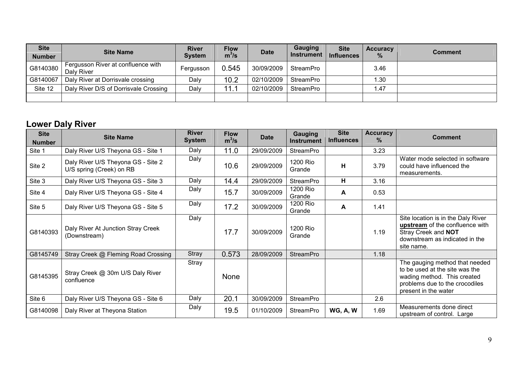| <b>Site</b><br><b>Number</b> | <b>Site Name</b>                                 | <b>River</b><br><b>System</b> | <b>Flow</b><br>$m^3/s$ | <b>Date</b> | Gauging<br><b>Instrument</b> | <b>Site</b><br><b>Influences</b> | <b>Accuracy</b><br>$\%$ | <b>Comment</b> |
|------------------------------|--------------------------------------------------|-------------------------------|------------------------|-------------|------------------------------|----------------------------------|-------------------------|----------------|
| G8140380                     | Fergusson River at confluence with<br>Daly River | Fergusson                     | 0.545                  | 30/09/2009  | StreamPro                    |                                  | 3.46                    |                |
| G8140067                     | Daly River at Dorrisvale crossing                | Daly                          | 10.2                   | 02/10/2009  | StreamPro                    |                                  | Ⅰ.30                    |                |
| Site 12                      | Daly River D/S of Dorrisvale Crossing            | Daly                          | 11.1                   | 02/10/2009  | StreamPro                    |                                  | 1.47                    |                |
|                              |                                                  |                               |                        |             |                              |                                  |                         |                |

### **Lower Daly River**

| <b>Site</b><br><b>Number</b> | <b>Site Name</b>                                               | <b>River</b><br><b>System</b> | <b>Flow</b><br>$m^3/s$ | <b>Date</b> | <b>Gauging</b><br><b>Instrument</b> | <b>Site</b><br><b>Influences</b> | <b>Accuracy</b><br>$\%$ | <b>Comment</b>                                                                                                                                            |
|------------------------------|----------------------------------------------------------------|-------------------------------|------------------------|-------------|-------------------------------------|----------------------------------|-------------------------|-----------------------------------------------------------------------------------------------------------------------------------------------------------|
| Site 1                       | Daly River U/S Theyona GS - Site 1                             | Daly                          | 11.0                   | 29/09/2009  | <b>StreamPro</b>                    |                                  | 3.23                    |                                                                                                                                                           |
| Site 2                       | Daly River U/S Theyona GS - Site 2<br>U/S spring (Creek) on RB | Daly                          | 10.6                   | 29/09/2009  | 1200 Rio<br>Grande                  | H                                | 3.79                    | Water mode selected in software<br>could have influenced the<br>measurements.                                                                             |
| Site 3                       | Daly River U/S Theyona GS - Site 3                             | Daly                          | 14.4                   | 29/09/2009  | <b>StreamPro</b>                    | H                                | 3.16                    |                                                                                                                                                           |
| Site 4                       | Daly River U/S Theyona GS - Site 4                             | Daly                          | 15.7                   | 30/09/2009  | 1200 Rio<br>Grande                  | A                                | 0.53                    |                                                                                                                                                           |
| Site 5                       | Daly River U/S Theyona GS - Site 5                             | Daly                          | 17.2                   | 30/09/2009  | 1200 Rio<br>Grande                  | A                                | 1.41                    |                                                                                                                                                           |
| G8140393                     | Daly River At Junction Stray Creek<br>(Downstream)             | Daly                          | 17.7                   | 30/09/2009  | 1200 Rio<br>Grande                  |                                  | 1.19                    | Site location is in the Daly River<br>upstream of the confluence with<br>Stray Creek and NOT<br>downstream as indicated in the<br>site name.              |
| G8145749                     | Stray Creek @ Fleming Road Crossing                            | Stray                         | 0.573                  | 28/09/2009  | <b>StreamPro</b>                    |                                  | 1.18                    |                                                                                                                                                           |
| G8145395                     | Stray Creek @ 30m U/S Daly River<br>confluence                 | Stray                         | <b>None</b>            |             |                                     |                                  |                         | The gauging method that needed<br>to be used at the site was the<br>wading method. This created<br>problems due to the crocodiles<br>present in the water |
| Site 6                       | Daly River U/S Theyona GS - Site 6                             | Daly                          | 20.1                   | 30/09/2009  | StreamPro                           |                                  | 2.6                     |                                                                                                                                                           |
| G8140098                     | Daly River at Theyona Station                                  | Daly                          | 19.5                   | 01/10/2009  | <b>StreamPro</b>                    | <b>WG, A, W</b>                  | 1.69                    | Measurements done direct<br>upstream of control. Large                                                                                                    |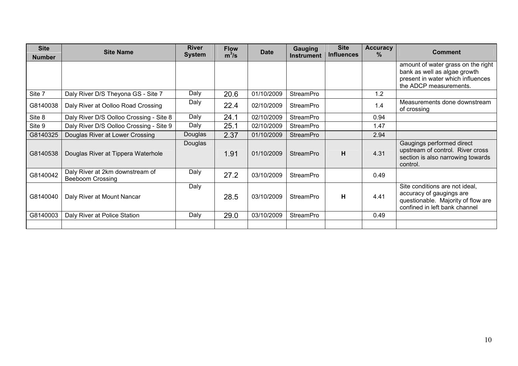| <b>Site</b>   | <b>Site Name</b>                                           | <b>River</b> | <b>Flow</b> | <b>Date</b> | <b>Gauging</b>   | <b>Site</b><br><b>Influences</b> | <b>Accuracy</b><br>$\%$ | <b>Comment</b>                                                                                                                    |
|---------------|------------------------------------------------------------|--------------|-------------|-------------|------------------|----------------------------------|-------------------------|-----------------------------------------------------------------------------------------------------------------------------------|
| <b>Number</b> | <b>System</b><br>$m^3/s$<br><b>Instrument</b>              |              |             |             |                  |                                  |                         |                                                                                                                                   |
|               |                                                            |              |             |             |                  |                                  |                         | amount of water grass on the right                                                                                                |
|               |                                                            |              |             |             |                  |                                  |                         | bank as well as algae growth                                                                                                      |
|               |                                                            |              |             |             |                  |                                  |                         | present in water which influences<br>the ADCP measurements.                                                                       |
| Site 7        |                                                            | Daly         | 20.6        | 01/10/2009  | <b>StreamPro</b> |                                  | 1.2                     |                                                                                                                                   |
|               | Daly River D/S Theyona GS - Site 7                         |              |             |             |                  |                                  |                         |                                                                                                                                   |
| G8140038      | Daly River at Oolloo Road Crossing                         | Daly         | 22.4        | 02/10/2009  | <b>StreamPro</b> |                                  | 1.4                     | Measurements done downstream<br>of crossing                                                                                       |
| Site 8        | Daly River D/S Oolloo Crossing - Site 8                    | Daly         | 24.1        | 02/10/2009  | StreamPro        |                                  | 0.94                    |                                                                                                                                   |
| Site 9        | Daly River D/S Oolloo Crossing - Site 9                    | Daly         | 25.1        | 02/10/2009  | StreamPro        |                                  | 1.47                    |                                                                                                                                   |
| G8140325      | Douglas River at Lower Crossing                            | Douglas      | 2.37        | 01/10/2009  | <b>StreamPro</b> |                                  | 2.94                    |                                                                                                                                   |
| G8140538      | Douglas River at Tippera Waterhole                         | Douglas      | 1.91        | 01/10/2009  | <b>StreamPro</b> | н                                | 4.31                    | Gaugings performed direct<br>upstream of control. River cross<br>section is also narrowing towards<br>control.                    |
| G8140042      | Daly River at 2km downstream of<br><b>Beeboom Crossing</b> | Daly         | 27.2        | 03/10/2009  | <b>StreamPro</b> |                                  | 0.49                    |                                                                                                                                   |
| G8140040      | Daly River at Mount Nancar                                 | Daly         | 28.5        | 03/10/2009  | <b>StreamPro</b> | н                                | 4.41                    | Site conditions are not ideal,<br>accuracy of gaugings are<br>questionable. Majority of flow are<br>confined in left bank channel |
| G8140003      | Daly River at Police Station                               | Daly         | 29.0        | 03/10/2009  | <b>StreamPro</b> |                                  | 0.49                    |                                                                                                                                   |
|               |                                                            |              |             |             |                  |                                  |                         |                                                                                                                                   |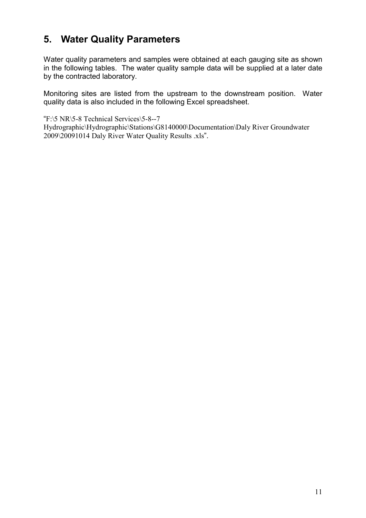### **5. Water Quality Parameters**

Water quality parameters and samples were obtained at each gauging site as shown in the following tables. The water quality sample data will be supplied at a later date by the contracted laboratory.

Monitoring sites are listed from the upstream to the downstream position. Water quality data is also included in the following Excel spreadsheet.

"F:\5 NR\5-8 Technical Services\5-8--7

Hydrographic\Hydrographic\Stations\G8140000\Documentation\Daly River Groundwater 2009\20091014 Daly River Water Quality Results .xls".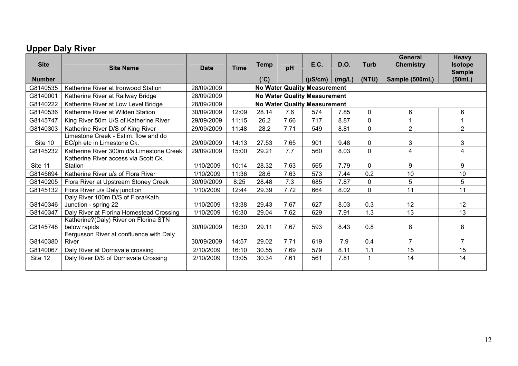### **Upper Daly River**

| <b>Site</b>   | <b>Site Name</b>                                                   | <b>Date</b> | <b>Time</b> | <b>Temp</b> | pH   | E.C.                                | D.O.   | <b>Turb</b>  | <b>General</b><br><b>Chemistry</b> | <b>Heavy</b><br><b>Isotope</b><br><b>Sample</b> |
|---------------|--------------------------------------------------------------------|-------------|-------------|-------------|------|-------------------------------------|--------|--------------|------------------------------------|-------------------------------------------------|
| <b>Number</b> |                                                                    |             |             | (°C)        |      | $(\mu S/cm)$                        | (mg/L) | (NTU)        | Sample (500mL)                     | (50mL)                                          |
| G8140535      | Katherine River at Ironwood Station                                | 28/09/2009  |             |             |      | <b>No Water Quality Measurement</b> |        |              |                                    |                                                 |
| G8140001      | Katherine River at Railway Bridge                                  | 28/09/2009  |             |             |      | <b>No Water Quality Measurement</b> |        |              |                                    |                                                 |
| G8140222      | Katherine River at Low Level Bridge                                | 28/09/2009  |             |             |      | <b>No Water Quality Measurement</b> |        |              |                                    |                                                 |
| G8140536      | Katherine River at Wilden Station                                  | 30/09/2009  | 12:09       | 28.14       | 7.6  | 574                                 | 7.85   | $\mathbf{0}$ | 6                                  | 6                                               |
| G8145747      | King River 50m U/S of Katherine River                              | 29/09/2009  | 11:15       | 26.2        | 7.66 | 717                                 | 8.87   | 0            |                                    |                                                 |
| G8140303      | Katherine River D/S of King River                                  | 29/09/2009  | 11:48       | 28.2        | 7.71 | 549                                 | 8.81   | 0            | $\overline{2}$                     | $\overline{2}$                                  |
| Site 10       | Limestone Creek - Estim, flow and do<br>EC/ph etc in Limestone Ck. | 29/09/2009  | 14:13       | 27.53       | 7.65 | 901                                 | 9.48   | $\mathbf{0}$ | 3                                  | 3                                               |
| G8145232      | Katherine River 300m d/s Limestone Creek                           | 29/09/2009  | 15:00       | 29.21       | 7.7  | 560                                 | 8.03   | 0            | 4                                  | $\overline{4}$                                  |
| Site 11       | Katherine River access via Scott Ck.<br>Station                    | 1/10/2009   | 10:14       | 28.32       | 7.63 | 565                                 | 7.79   | 0            | 9                                  | 9                                               |
| G8145694      | Katherine River u/s of Flora River                                 | 1/10/2009   | 11:36       | 28.6        | 7.63 | 573                                 | 7.44   | 0.2          | 10                                 | 10                                              |
| G8140205      | Flora River at Upstream Stoney Creek                               | 30/09/2009  | 8:25        | 28.48       | 7.3  | 685                                 | 7.87   | 0            | 5                                  | 5                                               |
| G8145132      | Flora River u/s Daly junction                                      | 1/10/2009   | 12:44       | 29.39       | 7.72 | 664                                 | 8.02   | $\Omega$     | 11                                 | 11                                              |
| G8140346      | Daly River 100m D/S of Flora/Kath.<br>Junction - spring 22         | 1/10/2009   | 13:38       | 29.43       | 7.67 | 627                                 | 8.03   | 0.3          | 12                                 | 12                                              |
| G8140347      | Daly River at Florina Homestead Crossing                           | 1/10/2009   | 16:30       | 29.04       | 7.62 | 629                                 | 7.91   | 1.3          | 13                                 | 13                                              |
| G8145748      | Katherine?(Daly) River on Florina STN<br>below rapids              | 30/09/2009  | 16:30       | 29.11       | 7.67 | 593                                 | 8.43   | 0.8          | 8                                  | 8                                               |
| G8140380      | Fergusson River at confluence with Daly<br>River                   | 30/09/2009  | 14:57       | 29.02       | 7.71 | 619                                 | 7.9    | 0.4          | $\overline{7}$                     | 7                                               |
| G8140067      | Daly River at Dorrisvale crossing                                  | 2/10/2009   | 16:10       | 30.55       | 7.69 | 579                                 | 8.11   | 1.1          | 15                                 | 15                                              |
| Site 12       | Daly River D/S of Dorrisvale Crossing                              | 2/10/2009   | 13:05       | 30.34       | 7.61 | 561                                 | 7.81   | 1            | 14                                 | 14                                              |
|               |                                                                    |             |             |             |      |                                     |        |              |                                    |                                                 |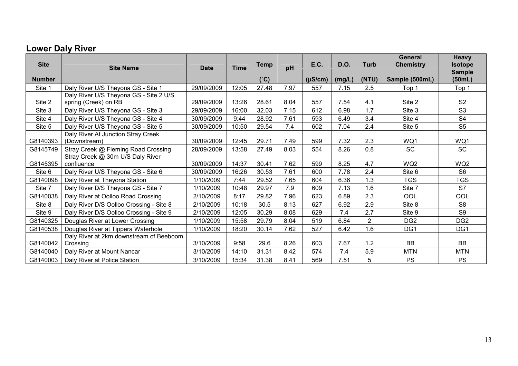### **Lower Daly River**

| <b>Site</b>   | <b>Site Name</b>                                               | <b>Date</b> | <b>Time</b> | <b>Temp</b> | pH   | <b>E.C.</b>  | <b>D.O.</b> | <b>Turb</b>    | <b>General</b><br><b>Chemistry</b> | Heavy<br><b>Isotope</b><br><b>Sample</b> |
|---------------|----------------------------------------------------------------|-------------|-------------|-------------|------|--------------|-------------|----------------|------------------------------------|------------------------------------------|
| <b>Number</b> |                                                                |             |             | (°C)        |      | $(\mu S/cm)$ | (mg/L)      | (NTU)          | Sample (500mL)                     | (50mL)                                   |
| Site 1        | Daly River U/S Theyona GS - Site 1                             | 29/09/2009  | 12:05       | 27.48       | 7.97 | 557          | 7.15        | 2.5            | Top 1                              | Top 1                                    |
| Site 2        | Daly River U/S Theyona GS - Site 2 U/S<br>spring (Creek) on RB | 29/09/2009  | 13:26       | 28.61       | 8.04 | 557          | 7.54        | 4.1            | Site 2                             | S <sub>2</sub>                           |
| Site 3        | Daly River U/S Theyona GS - Site 3                             | 29/09/2009  | 16:00       | 32.03       | 7.15 | 612          | 6.98        | 1.7            | Site 3                             | S <sub>3</sub>                           |
| Site 4        | Daly River U/S Theyona GS - Site 4                             | 30/09/2009  | 9:44        | 28.92       | 7.61 | 593          | 6.49        | 3.4            | Site 4                             | S <sub>4</sub>                           |
| Site 5        | Daly River U/S Theyona GS - Site 5                             | 30/09/2009  | 10:50       | 29.54       | 7.4  | 602          | 7.04        | 2.4            | Site 5                             | S <sub>5</sub>                           |
| G8140393      | Daly River At Junction Stray Creek<br>(Downstream)             | 30/09/2009  | 12:45       | 29.71       | 7.49 | 599          | 7.32        | 2.3            | WQ1                                | WQ1                                      |
| G8145749      | Stray Creek @ Fleming Road Crossing                            | 28/09/2009  | 13:58       | 27.49       | 8.03 | 554          | 8.26        | 0.8            | <b>SC</b>                          | SC                                       |
| G8145395      | Stray Creek @ 30m U/S Daly River<br>confluence                 | 30/09/2009  | 14:37       | 30.41       | 7.62 | 599          | 8.25        | 4.7            | WQ2                                | WQ2                                      |
| Site 6        | Daly River U/S Theyona GS - Site 6                             | 30/09/2009  | 16:26       | 30.53       | 7.61 | 600          | 7.78        | 2.4            | Site 6                             | S <sub>6</sub>                           |
| G8140098      | Daly River at Theyona Station                                  | 1/10/2009   | 7:44        | 29.52       | 7.65 | 604          | 6.36        | 1.3            | <b>TGS</b>                         | <b>TGS</b>                               |
| Site 7        | Daly River D/S Theyona GS - Site 7                             | 1/10/2009   | 10:48       | 29.97       | 7.9  | 609          | 7.13        | 1.6            | Site 7                             | S7                                       |
| G8140038      | Daly River at Oolloo Road Crossing                             | 2/10/2009   | 8:17        | 29.82       | 7.96 | 623          | 6.89        | 2.3            | OOL                                | OOL                                      |
| Site 8        | Daly River D/S Oolloo Crossing - Site 8                        | 2/10/2009   | 10:18       | 30.5        | 8.13 | 627          | 6.92        | 2.9            | Site 8                             | S <sub>8</sub>                           |
| Site 9        | Daly River D/S Oolloo Crossing - Site 9                        | 2/10/2009   | 12:05       | 30.29       | 8.08 | 629          | 7.4         | 2.7            | Site 9                             | S <sub>9</sub>                           |
| G8140325      | Douglas River at Lower Crossing                                | 1/10/2009   | 15:58       | 29.79       | 8.04 | 519          | 6.84        | $\overline{2}$ | DG <sub>2</sub>                    | DG <sub>2</sub>                          |
| G8140538      | Douglas River at Tippera Waterhole                             | 1/10/2009   | 18:20       | 30.14       | 7.62 | 527          | 6.42        | 1.6            | DG1                                | DG <sub>1</sub>                          |
|               | Daly River at 2km downstream of Beeboom                        |             |             |             |      |              |             |                |                                    |                                          |
| G8140042      | Crossing                                                       | 3/10/2009   | 9:58        | 29.6        | 8.26 | 603          | 7.67        | 1.2            | <b>BB</b>                          | <b>BB</b>                                |
| G8140040      | Daly River at Mount Nancar                                     | 3/10/2009   | 14:10       | 31.31       | 8.42 | 574          | 7.4         | 5.9            | <b>MTN</b>                         | <b>MTN</b>                               |
| G8140003      | Daly River at Police Station                                   | 3/10/2009   | 15:34       | 31.38       | 8.41 | 569          | 7.51        | 5              | PS                                 | <b>PS</b>                                |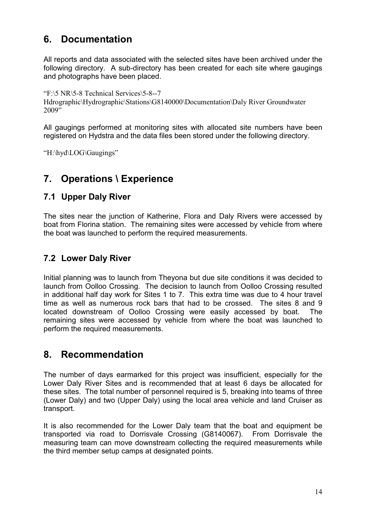### **6. Documentation**

All reports and data associated with the selected sites have been archived under the following directory. A sub-directory has been created for each site where gaugings and photographs have been placed.

"F:\5 NR\5-8 Technical Services\5-8--7 Hdrographic\Hydrographic\Stations\G8140000\Documentation\Daly River Groundwater 2009"

All gaugings performed at monitoring sites with allocated site numbers have been registered on Hydstra and the data files been stored under the following directory.

"H:\hyd\LOG\Gaugings"

### **7. Operations \ Experience**

#### **7.1 Upper Daly River**

The sites near the junction of Katherine, Flora and Daly Rivers were accessed by boat from Florina station. The remaining sites were accessed by vehicle from where the boat was launched to perform the required measurements.

#### **7.2 Lower Daly River**

Initial planning was to launch from Theyona but due site conditions it was decided to launch from Oolloo Crossing. The decision to launch from Oolloo Crossing resulted in additional half day work for Sites 1 to 7. This extra time was due to 4 hour travel time as well as numerous rock bars that had to be crossed. The sites 8 and 9 located downstream of Oolloo Crossing were easily accessed by boat. The remaining sites were accessed by vehicle from where the boat was launched to perform the required measurements.

### **8. Recommendation**

The number of days earmarked for this project was insufficient, especially for the Lower Daly River Sites and is recommended that at least 6 days be allocated for these sites. The total number of personnel required is 5, breaking into teams of three (Lower Daly) and two (Upper Daly) using the local area vehicle and land Cruiser as transport.

It is also recommended for the Lower Daly team that the boat and equipment be transported via road to Dorrisvale Crossing (G8140067). From Dorrisvale the measuring team can move downstream collecting the required measurements while the third member setup camps at designated points.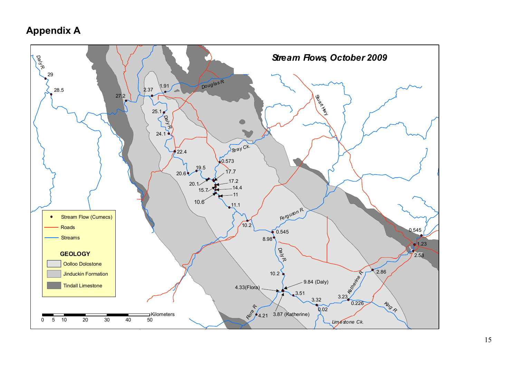### **Appendix A**